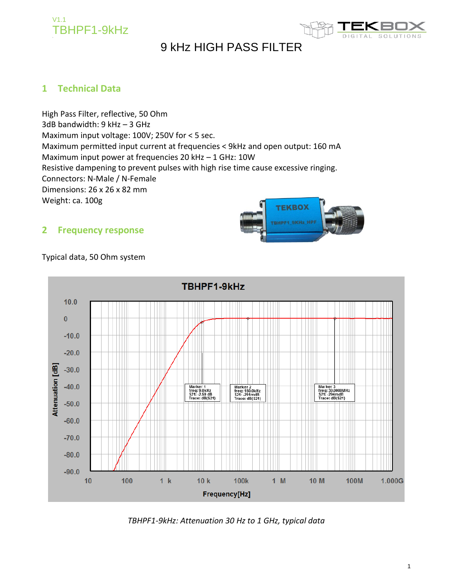



## **1 Technical Data**

High Pass Filter, reflective, 50 Ohm 3dB bandwidth: 9 kHz – 3 GHz Maximum input voltage: 100V; 250V for < 5 sec. Maximum permitted input current at frequencies < 9kHz and open output: 160 mA Maximum input power at frequencies 20 kHz – 1 GHz: 10W Resistive dampening to prevent pulses with high rise time cause excessive ringing. Connectors: N-Male / N-Female Dimensions: 26 x 26 x 82 mm Weight: ca. 100g





## Typical data, 50 Ohm system



*TBHPF1-9kHz: Attenuation 30 Hz to 1 GHz, typical data*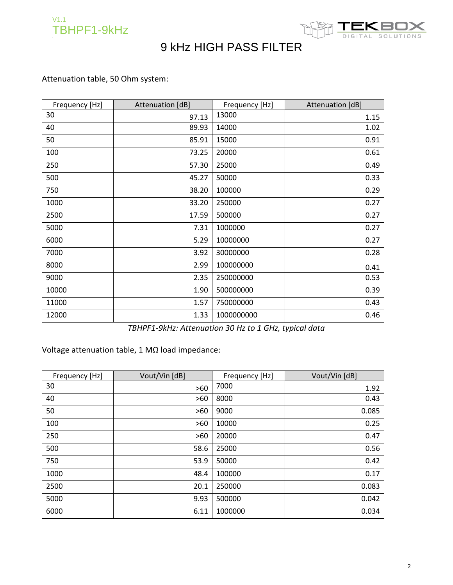



## Attenuation table, 50 Ohm system:

| Frequency [Hz] | Attenuation [dB] | Frequency [Hz] | Attenuation [dB] |
|----------------|------------------|----------------|------------------|
| 30             | 97.13            | 13000          | 1.15             |
| 40             | 89.93            | 14000          | 1.02             |
| 50             | 85.91            | 15000          | 0.91             |
| 100            | 73.25            | 20000          | 0.61             |
| 250            | 57.30            | 25000          | 0.49             |
| 500            | 45.27            | 50000          | 0.33             |
| 750            | 38.20            | 100000         | 0.29             |
| 1000           | 33.20            | 250000         | 0.27             |
| 2500           | 17.59            | 500000         | 0.27             |
| 5000           | 7.31             | 1000000        | 0.27             |
| 6000           | 5.29             | 10000000       | 0.27             |
| 7000           | 3.92             | 30000000       | 0.28             |
| 8000           | 2.99             | 100000000      | 0.41             |
| 9000           | 2.35             | 250000000      | 0.53             |
| 10000          | 1.90             | 500000000      | 0.39             |
| 11000          | 1.57             | 750000000      | 0.43             |
| 12000          | 1.33             | 1000000000     | 0.46             |

*TBHPF1-9kHz: Attenuation 30 Hz to 1 GHz, typical data*

Voltage attenuation table, 1 MΩ load impedance:

| Frequency [Hz] | Vout/Vin [dB] | Frequency [Hz] | Vout/Vin [dB] |
|----------------|---------------|----------------|---------------|
| 30             | $>60$         | 7000           | 1.92          |
| 40             | $>60$         | 8000           | 0.43          |
| 50             | $>60$         | 9000           | 0.085         |
| 100            | $>60$         | 10000          | 0.25          |
| 250            | $>60$         | 20000          | 0.47          |
| 500            | 58.6          | 25000          | 0.56          |
| 750            | 53.9          | 50000          | 0.42          |
| 1000           | 48.4          | 100000         | 0.17          |
| 2500           | 20.1          | 250000         | 0.083         |
| 5000           | 9.93          | 500000         | 0.042         |
| 6000           | 6.11          | 1000000        | 0.034         |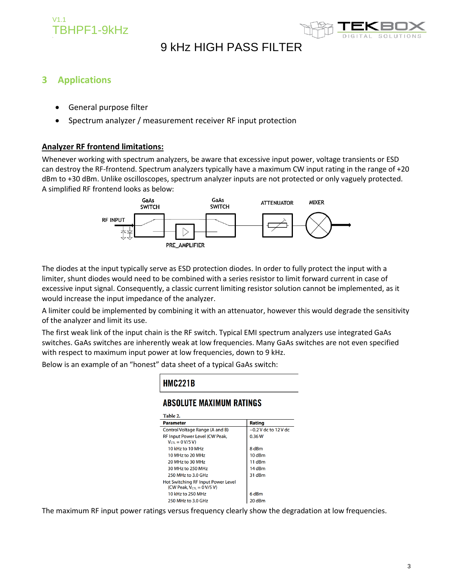



## **3 Applications**

- General purpose filter
- Spectrum analyzer / measurement receiver RF input protection

### **Analyzer RF frontend limitations:**

Whenever working with spectrum analyzers, be aware that excessive input power, voltage transients or ESD can destroy the RF-frontend. Spectrum analyzers typically have a maximum CW input rating in the range of +20 dBm to +30 dBm. Unlike oscilloscopes, spectrum analyzer inputs are not protected or only vaguely protected. A simplified RF frontend looks as below:



The diodes at the input typically serve as ESD protection diodes. In order to fully protect the input with a limiter, shunt diodes would need to be combined with a series resistor to limit forward current in case of excessive input signal. Consequently, a classic current limiting resistor solution cannot be implemented, as it would increase the input impedance of the analyzer.

A limiter could be implemented by combining it with an attenuator, however this would degrade the sensitivity of the analyzer and limit its use.

The first weak link of the input chain is the RF switch. Typical EMI spectrum analyzers use integrated GaAs switches. GaAs switches are inherently weak at low frequencies. Many GaAs switches are not even specified with respect to maximum input power at low frequencies, down to 9 kHz.

Below is an example of an "honest" data sheet of a typical GaAs switch:

| <b>HMC221B</b>                                                                                 |                        |  |  |  |
|------------------------------------------------------------------------------------------------|------------------------|--|--|--|
| ABSOLUTE MAXIMUM RATINGS                                                                       |                        |  |  |  |
| Table 2.                                                                                       |                        |  |  |  |
| <b>Parameter</b>                                                                               | Rating                 |  |  |  |
| Control Voltage Range (A and B)                                                                | $-0.2$ V dc to 12 V dc |  |  |  |
| RF Input Power Level (CW Peak,                                                                 | 0.36W                  |  |  |  |
| $V_{\text{CTL}} = 0 V/5 V$                                                                     |                        |  |  |  |
| 10 kHz to 10 MHz                                                                               | 8 dBm                  |  |  |  |
| 10 MHz to 20 MHz                                                                               | 10 dBm                 |  |  |  |
| 20 MHz to 30 MHz                                                                               | 11 dBm                 |  |  |  |
| 30 MHz to 250 MHz                                                                              | 14 dBm                 |  |  |  |
| 250 MHz to 3.0 GHz                                                                             | 31 dBm                 |  |  |  |
| Hot Switching RF Input Power Level<br>(CW Peak, $V_{\text{C}T1} = 0 \text{ V} / 5 \text{ V}$ ) |                        |  |  |  |
| 10 kHz to 250 MHz                                                                              | 6 dBm                  |  |  |  |
| 250 MHz to 3.0 GHz<br>20 dBm                                                                   |                        |  |  |  |

The maximum RF input power ratings versus frequency clearly show the degradation at low frequencies.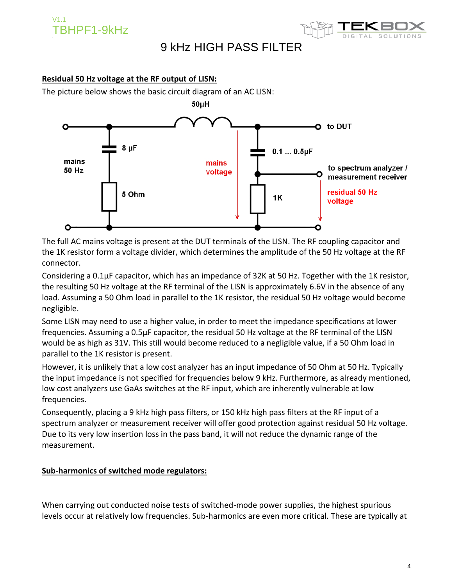

### **Residual 50 Hz voltage at the RF output of LISN:**

The picture below shows the basic circuit diagram of an AC LISN:



The full AC mains voltage is present at the DUT terminals of the LISN. The RF coupling capacitor and the 1K resistor form a voltage divider, which determines the amplitude of the 50 Hz voltage at the RF connector.

Considering a 0.1µF capacitor, which has an impedance of 32K at 50 Hz. Together with the 1K resistor, the resulting 50 Hz voltage at the RF terminal of the LISN is approximately 6.6V in the absence of any load. Assuming a 50 Ohm load in parallel to the 1K resistor, the residual 50 Hz voltage would become negligible.

Some LISN may need to use a higher value, in order to meet the impedance specifications at lower frequencies. Assuming a 0.5µF capacitor, the residual 50 Hz voltage at the RF terminal of the LISN would be as high as 31V. This still would become reduced to a negligible value, if a 50 Ohm load in parallel to the 1K resistor is present.

However, it is unlikely that a low cost analyzer has an input impedance of 50 Ohm at 50 Hz. Typically the input impedance is not specified for frequencies below 9 kHz. Furthermore, as already mentioned, low cost analyzers use GaAs switches at the RF input, which are inherently vulnerable at low frequencies.

Consequently, placing a 9 kHz high pass filters, or 150 kHz high pass filters at the RF input of a spectrum analyzer or measurement receiver will offer good protection against residual 50 Hz voltage. Due to its very low insertion loss in the pass band, it will not reduce the dynamic range of the measurement.

### **Sub-harmonics of switched mode regulators:**

When carrying out conducted noise tests of switched-mode power supplies, the highest spurious levels occur at relatively low frequencies. Sub-harmonics are even more critical. These are typically at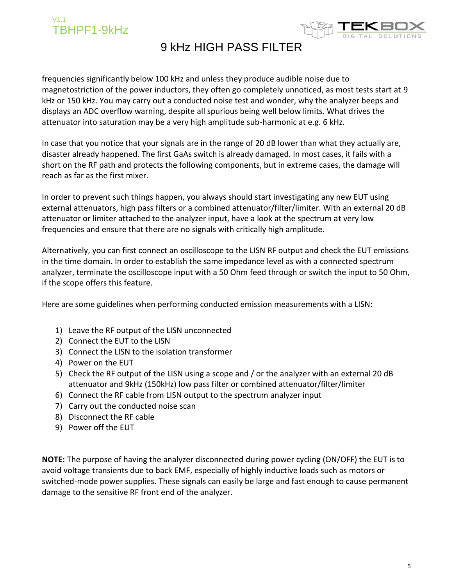

frequencies significantly below 100 kHz and unless they produce audible noise due to magnetostriction of the power inductors, they often go completely unnoticed, as most tests start at 9 kHz or 150 kHz. You may carry out a conducted noise test and wonder, why the analyzer beeps and displays an ADC overflow warning, despite all spurious being well below limits. What drives the attenuator into saturation may be a very high amplitude sub-harmonic at e.g. 6 kHz.

In case that you notice that your signals are in the range of 20 dB lower than what they actually are, disaster already happened. The first GaAs switch is already damaged. In most cases, it fails with a short on the RF path and protects the following components, but in extreme cases, the damage will reach as far as the first mixer.

In order to prevent such things happen, you always should start investigating any new EUT using external attenuators, high pass filters or a combined attenuator/filter/limiter. With an external 20 dB attenuator or limiter attached to the analyzer input, have a look at the spectrum at very low frequencies and ensure that there are no signals with critically high amplitude.

Alternatively, you can first connect an oscilloscope to the LISN RF output and check the EUT emissions in the time domain. In order to establish the same impedance level as with a connected spectrum analyzer, terminate the oscilloscope input with a 50 Ohm feed through or switch the input to 50 Ohm, if the scope offers this feature.

Here are some guidelines when performing conducted emission measurements with a LISN:

- 1) Leave the RF output of the LISN unconnected
- 2) Connect the EUT to the LISN
- 3) Connect the LISN to the isolation transformer
- 4) Power on the EUT
- 5) Check the RF output of the LISN using a scope and / or the analyzer with an external 20 dB attenuator and 9kHz (150kHz) low pass filter or combined attenuator/filter/limiter
- 6) Connect the RF cable from LISN output to the spectrum analyzer input
- 7) Carry out the conducted noise scan
- 8) Disconnect the RF cable
- 9) Power off the EUT

**NOTE:** The purpose of having the analyzer disconnected during power cycling (ON/OFF) the EUT is to avoid voltage transients due to back EMF, especially of highly inductive loads such as motors or switched-mode power supplies. These signals can easily be large and fast enough to cause permanent damage to the sensitive RF front end of the analyzer.